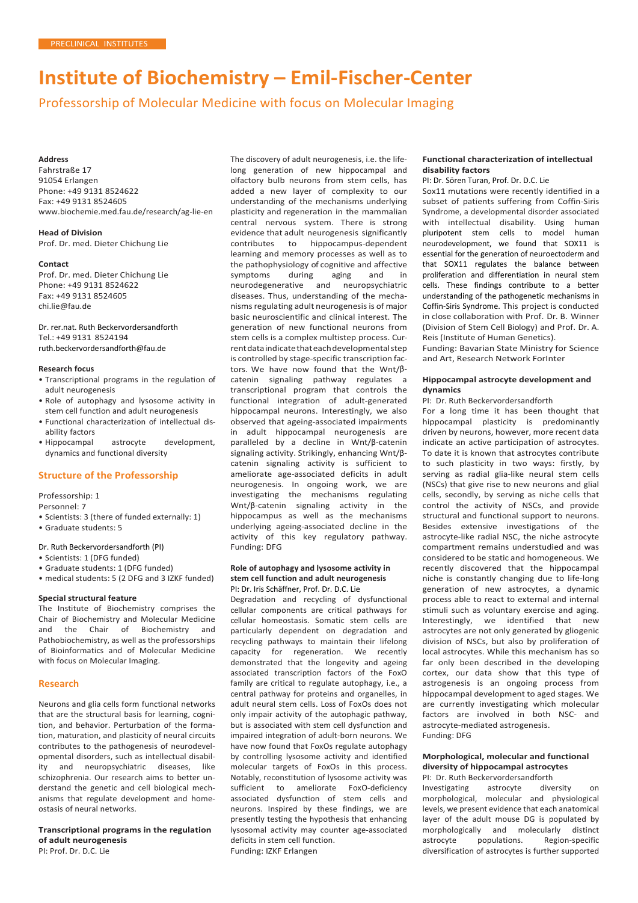# **Institute of Biochemistry – Emil-Fischer-Center**

Professorship of Molecular Medicine with focus on Molecular Imaging

## **Address**

Fahrstraße 17 91054 Erlangen Phone: +49 9131 8524622 Fax: +49 9131 8524605 [www.biochemie.med.fau.de/research/ag-lie-en](http://www.biochemie.med.fau.de/research/ag-lie-en)

**Head of Division** Prof. Dr. med. Dieter Chichung Lie

#### **Contact**

Prof. Dr. med. Dieter Chichung Lie Phone: +49 9131 8524622 Fax: +49 9131 8524605 [chi.lie@fau.de](mailto:chi.lie@fau.de)

Dr. rer.nat. Ruth Beckervordersandforth Tel.: +49 9131 8524194 ruth.beckervordersandforth@fau.de

### **Research focus**

- Transcriptional programs in the regulation of adult neurogenesis
- Role of autophagy and lysosome activity in stem cell function and adult neurogenesis
- Functional characterization of intellectual disability factors
- Hippocampal astrocyte development, dynamics and functional diversity

## **Structure of the Professorship**

Professorship: 1

Personnel: 7

- Scientists: 3 (there of funded externally: 1)
- Graduate students: 5

## Dr. Ruth Beckervordersandforth (PI)

- Scientists: 1 (DFG funded)
- Graduate students: 1 (DFG funded) • medical students: 5 (2 DFG and 3 IZKF funded)
- 

## **Special structural feature**

The Institute of Biochemistry comprises the Chair of Biochemistry and Molecular Medicine and the Chair of Biochemistry and Pathobiochemistry, as well as the professorships of Bioinformatics and of Molecular Medicine with focus on Molecular Imaging.

#### **Research**

Neurons and glia cells form functional networks that are the structural basis for learning, cognition, and behavior. Perturbation of the formation, maturation, and plasticity of neural circuits contributes to the pathogenesis of neurodevelopmental disorders, such as intellectual disability and neuropsychiatric diseases, like schizophrenia. Our research aims to better understand the genetic and cell biological mechanisms that regulate development and homeostasis of neural networks.

**Transcriptional programs in the regulation of adult neurogenesis** PI: Prof. Dr. D.C. Lie

The discovery of adult neurogenesis, i.e. the lifelong generation of new hippocampal and olfactory bulb neurons from stem cells, has added a new layer of complexity to our understanding of the mechanisms underlying plasticity and regeneration in the mammalian central nervous system. There is strong evidence that adult neurogenesis significantly contributes to hippocampus-dependent learning and memory processes as well as to the pathophysiology of cognitive and affective<br>symptoms during aging and in during aging and neurodegenerative and neuropsychiatric diseases. Thus, understanding of the mechanisms regulating adult neurogenesis is of major basic neuroscientific and clinical interest. The generation of new functional neurons from stem cells is a complex multistep process. Currentdataindicatethateachdevelopmentalstep is controlled by stage-specific transcription factors. We have now found that the Wnt/βcatenin signaling pathway regulates a transcriptional program that controls the functional integration of adult-generated hippocampal neurons. Interestingly, we also observed that ageing-associated impairments in adult hippocampal neurogenesis are paralleled by a decline in Wnt/β-catenin signaling activity. Strikingly, enhancing Wnt/βcatenin signaling activity is sufficient to ameliorate age-associated deficits in adult neurogenesis. In ongoing work, we are investigating the mechanisms regulating Wnt/β-catenin signaling activity in the hippocampus as well as the mechanisms underlying ageing-associated decline in the activity of this key regulatory pathway. Funding: DFG

#### **Role of autophagy and lysosome activity in stem cell function and adult neurogenesis**  PI: Dr. Iris Schäffner, Prof. Dr. D.C. Lie

Degradation and recycling of dysfunctional cellular components are critical pathways for cellular homeostasis. Somatic stem cells are particularly dependent on degradation and recycling pathways to maintain their lifelong capacity for regeneration. We recently demonstrated that the longevity and ageing associated transcription factors of the FoxO family are critical to regulate autophagy, i.e., a central pathway for proteins and organelles, in adult neural stem cells. Loss of FoxOs does not only impair activity of the autophagic pathway, but is associated with stem cell dysfunction and impaired integration of adult-born neurons. We have now found that FoxOs regulate autophagy by controlling lysosome activity and identified molecular targets of FoxOs in this process. Notably, reconstitution of lysosome activity was sufficient to ameliorate FoxO-deficiency associated dysfunction of stem cells and neurons. Inspired by these findings, we are presently testing the hypothesis that enhancing lysosomal activity may counter age-associated deficits in stem cell function.

Funding: IZKF Erlangen

## **Functional characterization of intellectual disability factors**

PI: Dr. Sören Turan, Prof. Dr. D.C. Lie

Sox11 mutations were recently identified in a subset of patients suffering from Coffin-Siris Syndrome, a developmental disorder associated with intellectual disability. Using human pluripotent stem cells to model human neurodevelopment, we found that SOX11 is essential for the generation of neuroectoderm and that SOX11 regulates the balance between proliferation and differentiation in neural stem cells. These findings contribute to a better understanding of the pathogenetic mechanisms in Coffin-Siris Syndrome. This project is conducted in close collaboration with Prof. Dr. B. Winner (Division of Stem Cell Biology) and Prof. Dr. A. Reis (Institute of Human Genetics). Funding: Bavarian State Ministry for Science

and Art, Research Network ForInter

## **Hippocampal astrocyte development and dynamics**

PI: Dr. Ruth Beckervordersandforth

For a long time it has been thought that hippocampal plasticity is predominantly driven by neurons, however, more recent data indicate an active participation of astrocytes. To date it is known that astrocytes contribute to such plasticity in two ways: firstly, by serving as radial glia-like neural stem cells (NSCs) that give rise to new neurons and glial cells, secondly, by serving as niche cells that control the activity of NSCs, and provide structural and functional support to neurons. Besides extensive investigations of the astrocyte-like radial NSC, the niche astrocyte compartment remains understudied and was considered to be static and homogeneous. We recently discovered that the hippocampal niche is constantly changing due to life-long generation of new astrocytes, a dynamic process able to react to external and internal stimuli such as voluntary exercise and aging. Interestingly, we identified that new astrocytes are not only generated by gliogenic division of NSCs, but also by proliferation of local astrocytes. While this mechanism has so far only been described in the developing cortex, our data show that this type of astrogenesis is an ongoing process from hippocampal development to aged stages. We are currently investigating which molecular factors are involved in both NSC- and astrocyte-mediated astrogenesis. Funding: DFG

#### **Morphological, molecular and functional diversity of hippocampal astrocytes** PI: Dr. Ruth Beckervordersandforth

Investigating astrocyte diversity on morphological, molecular and physiological levels, we present evidence that each anatomical layer of the adult mouse DG is populated by morphologically and molecularly distinct astrocyte populations. Region-specific diversification of astrocytes is further supported